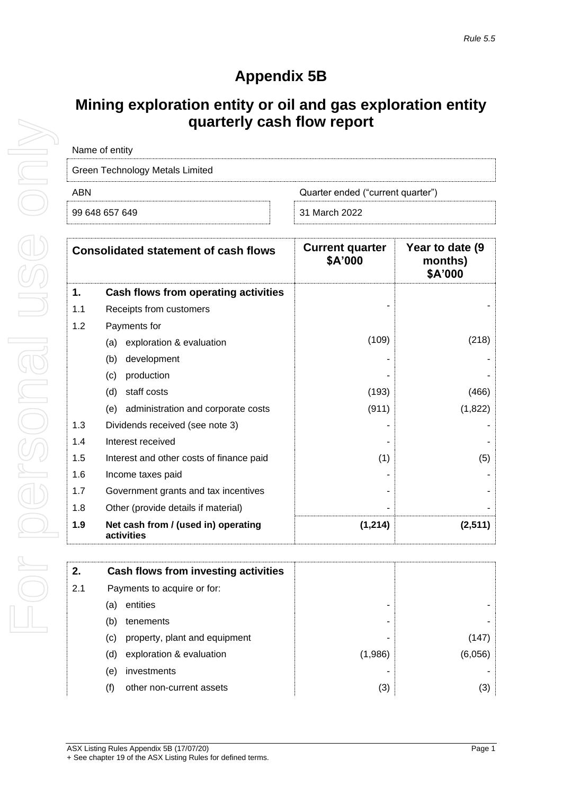## **Appendix 5B**

## **Mining exploration entity or oil and gas exploration entity quarterly cash flow report**

| Name of entity                           |               |  |  |
|------------------------------------------|---------------|--|--|
| Green Technology Metals Limited          |               |  |  |
| ABN<br>Quarter ended ("current quarter") |               |  |  |
| 99 648 657 649                           | 31 March 2022 |  |  |

| <b>Consolidated statement of cash flows</b> |                                                   | <b>Current quarter</b><br>\$A'000 | Year to date (9)<br>months)<br>\$A'000 |
|---------------------------------------------|---------------------------------------------------|-----------------------------------|----------------------------------------|
| 1.                                          | Cash flows from operating activities              |                                   |                                        |
| 1.1                                         | Receipts from customers                           |                                   |                                        |
| 1.2                                         | Payments for                                      |                                   |                                        |
|                                             | exploration & evaluation<br>(a)                   | (109)                             | (218)                                  |
|                                             | development<br>(b)                                |                                   |                                        |
|                                             | production<br>(c)                                 |                                   |                                        |
|                                             | (d)<br>staff costs                                | (193)                             | (466)                                  |
|                                             | administration and corporate costs<br>(e)         | (911)                             | (1,822)                                |
| 1.3                                         | Dividends received (see note 3)                   |                                   |                                        |
| 1.4                                         | Interest received                                 |                                   |                                        |
| 1.5                                         | Interest and other costs of finance paid          | (1)                               | (5)                                    |
| 1.6                                         | Income taxes paid                                 |                                   |                                        |
| 1.7                                         | Government grants and tax incentives              |                                   |                                        |
| 1.8                                         | Other (provide details if material)               |                                   |                                        |
| 1.9                                         | Net cash from / (used in) operating<br>activities | (1, 214)                          | (2,511)                                |

|     | Cash flows from investing activities |         |
|-----|--------------------------------------|---------|
|     | Payments to acquire or for:          |         |
| (a) | entities                             |         |
| (b) | tenements                            |         |
| (C) | property, plant and equipment        |         |
| (d) | exploration & evaluation             | (1,986) |
| (e) | investments                          |         |
| (f) | other non-current assets             | (3)     |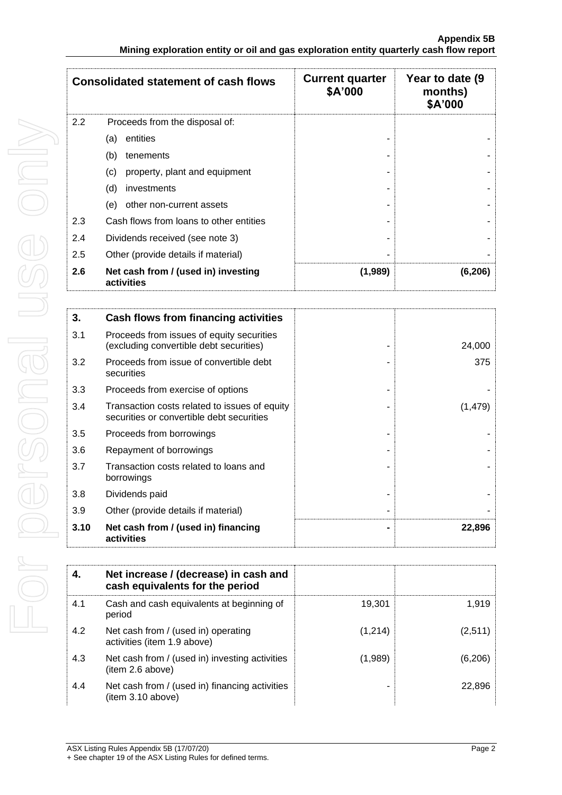| <b>Consolidated statement of cash flows</b> |                                                   | <b>Current quarter</b><br>\$A'000 | Year to date (9)<br>months)<br>\$A'000 |
|---------------------------------------------|---------------------------------------------------|-----------------------------------|----------------------------------------|
| 2.2                                         | Proceeds from the disposal of:                    |                                   |                                        |
|                                             | entities<br>(a)                                   |                                   |                                        |
|                                             | (b)<br>tenements                                  |                                   |                                        |
|                                             | (c)<br>property, plant and equipment              |                                   |                                        |
|                                             | (d)<br>investments                                |                                   |                                        |
|                                             | other non-current assets<br>(e)                   |                                   |                                        |
| 2.3                                         | Cash flows from loans to other entities           |                                   |                                        |
| 2.4                                         | Dividends received (see note 3)                   |                                   |                                        |
| 2.5                                         | Other (provide details if material)               |                                   |                                        |
| 2.6                                         | Net cash from / (used in) investing<br>activities | (1,989)                           | (6, 206)                               |

| 3.   | Cash flows from financing activities                                                       |          |
|------|--------------------------------------------------------------------------------------------|----------|
| 3.1  | Proceeds from issues of equity securities<br>(excluding convertible debt securities)       | 24,000   |
| 3.2  | Proceeds from issue of convertible debt<br>securities                                      | 375      |
| 3.3  | Proceeds from exercise of options                                                          |          |
| 3.4  | Transaction costs related to issues of equity<br>securities or convertible debt securities | (1, 479) |
| 3.5  | Proceeds from borrowings                                                                   |          |
| 3.6  | Repayment of borrowings                                                                    |          |
| 3.7  | Transaction costs related to loans and<br>borrowings                                       |          |
| 3.8  | Dividends paid                                                                             |          |
| 3.9  | Other (provide details if material)                                                        |          |
| 3.10 | Net cash from / (used in) financing<br>activities                                          | 22,896   |

|     | Net increase / (decrease) in cash and<br>cash equivalents for the period |         |          |
|-----|--------------------------------------------------------------------------|---------|----------|
| 4.1 | Cash and cash equivalents at beginning of<br>period                      | 19,301  | 1.919    |
| 4.2 | Net cash from / (used in) operating<br>activities (item 1.9 above)       | (1,214) | (2,511)  |
| 4.3 | Net cash from / (used in) investing activities<br>(item 2.6 above)       | (1,989) | (6, 206) |
| 4.4 | Net cash from / (used in) financing activities<br>(item 3.10 above)      |         | 22,896   |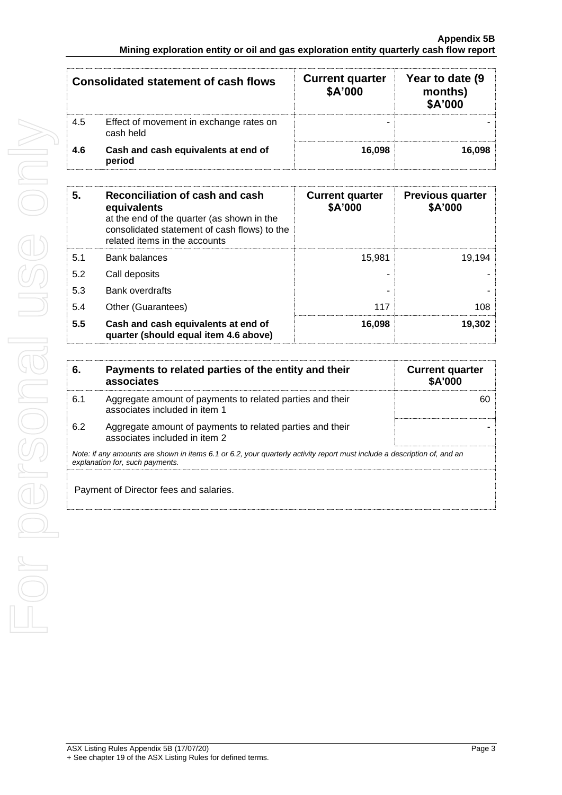| <b>Consolidated statement of cash flows</b> |                                                      | <b>Current quarter</b><br>\$A'000 | Year to date (9)<br>months)<br>\$A'000 |
|---------------------------------------------|------------------------------------------------------|-----------------------------------|----------------------------------------|
| 4.5                                         | Effect of movement in exchange rates on<br>cash held | -                                 |                                        |
| 4.6                                         | Cash and cash equivalents at end of<br>period        | 16.098                            | 16,098                                 |

| 5.  | Reconciliation of cash and cash<br>equivalents<br>at the end of the quarter (as shown in the<br>consolidated statement of cash flows) to the<br>related items in the accounts | <b>Current quarter</b><br>\$A'000 | <b>Previous quarter</b><br>\$A'000 |
|-----|-------------------------------------------------------------------------------------------------------------------------------------------------------------------------------|-----------------------------------|------------------------------------|
| 5.1 | <b>Bank balances</b>                                                                                                                                                          | 15.981                            | 19.194                             |
| 5.2 | Call deposits                                                                                                                                                                 |                                   |                                    |
| 5.3 | <b>Bank overdrafts</b>                                                                                                                                                        |                                   |                                    |
| 5.4 | Other (Guarantees)                                                                                                                                                            | 117                               | 108                                |
| 5.5 | Cash and cash equivalents at end of<br>quarter (should equal item 4.6 above)                                                                                                  | 16,098                            | 19,302                             |

| 6.  | Payments to related parties of the entity and their<br>associates                                                                                           | <b>Current quarter</b><br><b>\$A'000</b> |  |  |
|-----|-------------------------------------------------------------------------------------------------------------------------------------------------------------|------------------------------------------|--|--|
| 6.1 | Aggregate amount of payments to related parties and their<br>associates included in item 1                                                                  | 60                                       |  |  |
| 6.2 | Aggregate amount of payments to related parties and their<br>associates included in item 2                                                                  |                                          |  |  |
|     | Note: if any amounts are shown in items 6.1 or 6.2, your quarterly activity report must include a description of, and an<br>explanation for, such payments. |                                          |  |  |
|     | Payment of Director fees and salaries.                                                                                                                      |                                          |  |  |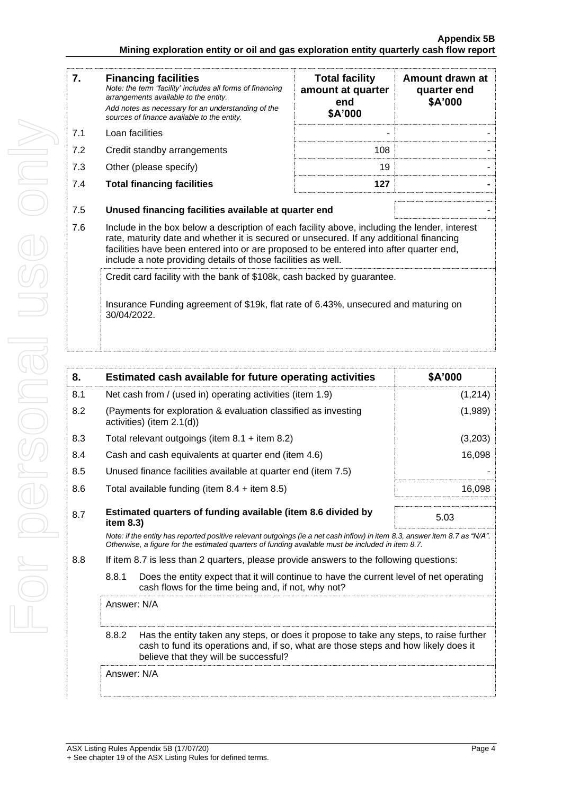| 7.                                                                                                                                                                            | <b>Financing facilities</b><br>Note: the term "facility' includes all forms of financing<br>arrangements available to the entity.<br>Add notes as necessary for an understanding of the<br>sources of finance available to the entity.                                                                                                               | <b>Total facility</b><br>amount at quarter<br>end<br>\$A'000 | Amount drawn at<br>quarter end<br>\$A'000 |
|-------------------------------------------------------------------------------------------------------------------------------------------------------------------------------|------------------------------------------------------------------------------------------------------------------------------------------------------------------------------------------------------------------------------------------------------------------------------------------------------------------------------------------------------|--------------------------------------------------------------|-------------------------------------------|
| 7.1                                                                                                                                                                           | Loan facilities                                                                                                                                                                                                                                                                                                                                      |                                                              |                                           |
| 7.2                                                                                                                                                                           | Credit standby arrangements                                                                                                                                                                                                                                                                                                                          | 108                                                          |                                           |
| 7.3                                                                                                                                                                           | Other (please specify)                                                                                                                                                                                                                                                                                                                               | 19                                                           |                                           |
| 7.4                                                                                                                                                                           | <b>Total financing facilities</b>                                                                                                                                                                                                                                                                                                                    | 127                                                          |                                           |
| 7.5                                                                                                                                                                           | Unused financing facilities available at quarter end                                                                                                                                                                                                                                                                                                 |                                                              |                                           |
| 7.6                                                                                                                                                                           | Include in the box below a description of each facility above, including the lender, interest<br>rate, maturity date and whether it is secured or unsecured. If any additional financing<br>facilities have been entered into or are proposed to be entered into after quarter end,<br>include a note providing details of those facilities as well. |                                                              |                                           |
| Credit card facility with the bank of \$108k, cash backed by guarantee.<br>Insurance Funding agreement of \$19k, flat rate of 6.43%, unsecured and maturing on<br>30/04/2022. |                                                                                                                                                                                                                                                                                                                                                      |                                                              |                                           |

| 8.          |                                                                                                                                                                                                                                 | Estimated cash available for future operating activities                                                                                                                                                               | \$A'000 |
|-------------|---------------------------------------------------------------------------------------------------------------------------------------------------------------------------------------------------------------------------------|------------------------------------------------------------------------------------------------------------------------------------------------------------------------------------------------------------------------|---------|
| 8.1         | Net cash from / (used in) operating activities (item 1.9)                                                                                                                                                                       |                                                                                                                                                                                                                        | (1,214) |
| 8.2         |                                                                                                                                                                                                                                 | (Payments for exploration & evaluation classified as investing<br>activities) (item $2.1(d)$ )                                                                                                                         | (1,989) |
| 8.3         |                                                                                                                                                                                                                                 | Total relevant outgoings (item $8.1 +$ item $8.2$ )                                                                                                                                                                    | (3,203) |
| 8.4         |                                                                                                                                                                                                                                 | Cash and cash equivalents at quarter end (item 4.6)                                                                                                                                                                    | 16,098  |
| 8.5         |                                                                                                                                                                                                                                 | Unused finance facilities available at quarter end (item 7.5)                                                                                                                                                          |         |
| 8.6         |                                                                                                                                                                                                                                 | Total available funding (item $8.4 +$ item $8.5$ )                                                                                                                                                                     | 16,098  |
| 8.7         | Estimated quarters of funding available (item 8.6 divided by<br>item $8.3$ )                                                                                                                                                    |                                                                                                                                                                                                                        | 5.03    |
|             | Note: if the entity has reported positive relevant outgoings (ie a net cash inflow) in item 8.3, answer item 8.7 as "N/A".<br>Otherwise, a figure for the estimated quarters of funding available must be included in item 8.7. |                                                                                                                                                                                                                        |         |
| 8.8         |                                                                                                                                                                                                                                 | If item 8.7 is less than 2 quarters, please provide answers to the following questions:                                                                                                                                |         |
|             | 8.8.1                                                                                                                                                                                                                           | Does the entity expect that it will continue to have the current level of net operating<br>cash flows for the time being and, if not, why not?                                                                         |         |
|             | Answer: N/A                                                                                                                                                                                                                     |                                                                                                                                                                                                                        |         |
|             | 8.8.2                                                                                                                                                                                                                           | Has the entity taken any steps, or does it propose to take any steps, to raise further<br>cash to fund its operations and, if so, what are those steps and how likely does it<br>believe that they will be successful? |         |
| Answer: N/A |                                                                                                                                                                                                                                 |                                                                                                                                                                                                                        |         |